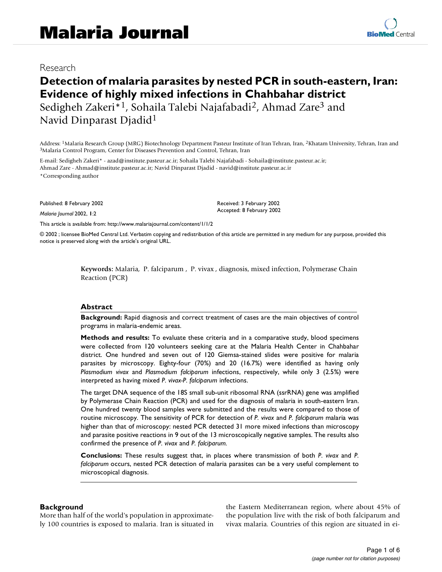## **Research**

# **Detection of malaria parasites by nested PCR in south-eastern, Iran: Evidence of highly mixed infections in Chahbahar district** Sedigheh Zakeri\*1, Sohaila Talebi Najafabadi2, Ahmad Zare3 and

Navid Dinparast Djadid1

Address: <sup>1</sup>Malaria Research Group (MRG) Biotechnology Department Pasteur Institute of Iran Tehran, Iran, <sup>2</sup>Khatam University, Tehran, Iran and 3Malaria Control Program, Center for Diseases Prevention and Control, Tehran,

Received: 3 February 2002 Accepted: 8 February 2002

E-mail: Sedigheh Zakeri\* - azad@institute.pasteur.ac.ir; Sohaila Talebi Najafabadi - Sohaila@institute.pasteur.ac.ir; Ahmad Zare - Ahmad@institute.pasteur.ac.ir; Navid Dinparast Djadid - navid@institute.pasteur.ac.ir \*Corresponding author

Published: 8 February 2002

*Malaria Journal* 2002, **1**:2

[This article is available from: http://www.malariajournal.com/content/1/1/2](http://www.malariajournal.com/content/1/1/2)

© 2002 ; licensee BioMed Central Ltd. Verbatim copying and redistribution of this article are permitted in any medium for any purpose, provided this notice is preserved along with the article's original URL.

> **Keywords:** Malaria, P. falciparum , P. vivax , diagnosis, mixed infection, Polymerase Chain Reaction (PCR)

#### **Abstract**

**Background:** Rapid diagnosis and correct treatment of cases are the main objectives of control programs in malaria-endemic areas.

**Methods and results:** To evaluate these criteria and in a comparative study, blood specimens were collected from 120 volunteers seeking care at the Malaria Health Center in Chahbahar district. One hundred and seven out of 120 Giemsa-stained slides were positive for malaria parasites by microscopy. Eighty-four (70%) and 20 (16.7%) were identified as having only *Plasmodium vivax* and *Plasmodium falciparum* infections, respectively, while only 3 (2.5%) were interpreted as having mixed *P. vivax-P. falciparum* infections.

The target DNA sequence of the 18S small sub-unit ribosomal RNA (ssrRNA) gene was amplified by Polymerase Chain Reaction (PCR) and used for the diagnosis of malaria in south-eastern Iran. One hundred twenty blood samples were submitted and the results were compared to those of routine microscopy. The sensitivity of PCR for detection of *P. vivax* and *P. falciparum* malaria was higher than that of microscopy: nested PCR detected 31 more mixed infections than microscopy and parasite positive reactions in 9 out of the 13 microscopically negative samples. The results also confirmed the presence of *P. vivax* and *P. falciparum.*

**Conclusions:** These results suggest that, in places where transmission of both *P. vivax* and *P. falciparum* occurs, nested PCR detection of malaria parasites can be a very useful complement to microscopical diagnosis.

## **Background**

More than half of the world's population in approximately 100 countries is exposed to malaria. Iran is situated in

the Eastern Mediterranean region, where about 45% of the population live with the risk of both falciparum and vivax malaria. Countries of this region are situated in ei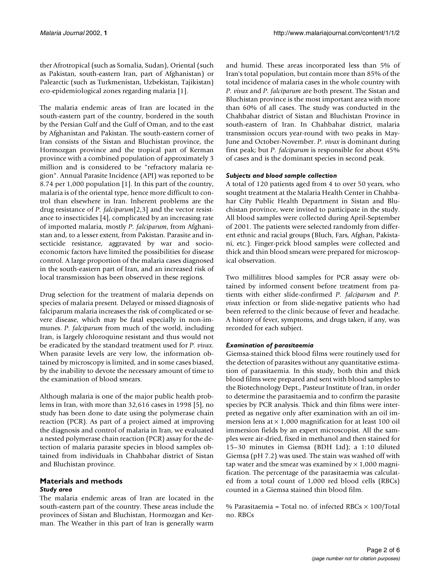ther Afrotropical (such as Somalia, Sudan), Oriental (such as Pakistan, south-eastern Iran, part of Afghanistan) or Palearctic (such as Turkmenistan, Uzbekistan, Tajikistan) eco-epidemiological zones regarding malaria [[1](#page-5-0)].

The malaria endemic areas of Iran are located in the south-eastern part of the country, bordered in the south by the Persian Gulf and the Gulf of Oman, and to the east by Afghanistan and Pakistan. The south-eastern corner of Iran consists of the Sistan and Bluchistan province, the Hormozgan province and the tropical part of Kerman province with a combined population of approximately 3 million and is considered to be "refractory malaria region". Annual Parasite Incidence (API) was reported to be 8.74 per 1,000 population [\[1](#page-5-0)]. In this part of the country, malaria is of the oriental type, hence more difficult to control than elsewhere in Iran. Inherent problems are the drug resistance of *P. falciparum*[[2](#page-5-1),[3](#page-5-2)] and the vector resistance to insecticides [[4](#page-5-3)], complicated by an increasing rate of imported malaria, mostly *P. falciparum*, from Afghanistan and, to a lesser extent, from Pakistan. Parasite and insecticide resistance, aggravated by war and socioeconomic factors have limited the possibilities for disease control. A large proportion of the malaria cases diagnosed in the south-eastern part of Iran, and an increased risk of local transmission has been observed in these regions.

Drug selection for the treatment of malaria depends on species of malaria present. Delayed or missed diagnosis of falciparum malaria increases the risk of complicated or severe disease, which may be fatal especially in non-immunes. *P. falciparum* from much of the world, including Iran, is largely chloroquine resistant and thus would not be eradicated by the standard treatment used for *P. vivax*. When parasite levels are very low, the information obtained by microscopy is limited, and in some cases biased, by the inability to devote the necessary amount of time to the examination of blood smears.

Although malaria is one of the major public health problems in Iran, with more than 32,616 cases in 1998 [\[5](#page-5-4)], no study has been done to date using the polymerase chain reaction (PCR). As part of a project aimed at improving the diagnosis and control of malaria in Iran, we evaluated a nested polymerase chain reaction (PCR) assay for the detection of malaria parasite species in blood samples obtained from individuals in Chahbahar district of Sistan and Bluchistan province.

#### **Materials and methods** *Study area*

The malaria endemic areas of Iran are located in the south-eastern part of the country. These areas include the provinces of Sistan and Bluchistan, Hormozgan and Kerman. The Weather in this part of Iran is generally warm and humid. These areas incorporated less than 5% of Iran's total population, but contain more than 85% of the total incidence of malaria cases in the whole country with *P. vivax* and *P. falciparum* are both present. The Sistan and Bluchistan province is the most important area with more than 60% of all cases. The study was conducted in the Chahbahar district of Sistan and Bluchistan Province in south-eastern of Iran. In Chahbahar district, malaria transmission occurs year-round with two peaks in May-June and October-November. *P. vivax* is dominant during first peak; but *P. falciparum* is responsible for about 45% of cases and is the dominant species in second peak.

## *Subjects and blood sample collection*

A total of 120 patients aged from 4 to over 50 years, who sought treatment at the Malaria Health Center in Chahbahar City Public Health Department in Sistan and Bluchistan province, were invited to participate in the study. All blood samples were collected during April-September of 2001. The patients were selected randomly from different ethnic and racial groups (Bluch, Fars, Afghan, Pakistani, etc.). Finger-prick blood samples were collected and thick and thin blood smears were prepared for microscopical observation.

Two millilitres blood samples for PCR assay were obtained by informed consent before treatment from patients with either slide-confirmed *P. falciparum* and *P. vivax* infection or from slide-negative patients who had been referred to the clinic because of fever and headache. A history of fever, symptoms, and drugs taken, if any, was recorded for each subject.

## *Examination of parasitaemia*

Giemsa-stained thick blood films were routinely used for the detection of parasites without any quantitative estimation of parasitaemia. In this study, both thin and thick blood films were prepared and sent with blood samples to the Biotechnology Dept., Pasteur Institute of Iran, in order to determine the parasitaemia and to confirm the parasite species by PCR analysis. Thick and thin films were interpreted as negative only after examination with an oil immersion lens at  $\times$  1,000 magnification for at least 100 oil immersion fields by an expert microscopist. All the samples were air-dried, fixed in methanol and then stained for 15–30 minutes in Giemsa (BDH Ltd); a 1:10 diluted Giemsa (pH 7.2) was used. The stain was washed off with tap water and the smear was examined by  $\times$  1,000 magnification. The percentage of the parasitaemia was calculated from a total count of 1,000 red blood cells (RBCs) counted in a Giemsa stained thin blood film.

<span id="page-1-0"></span>% Parasitaemia = Total no. of infected RBCs  $\times$  100/Total no. RBCs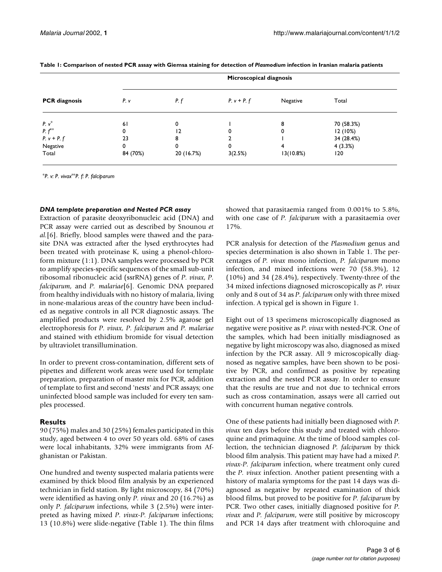| Total      |
|------------|
| 70 (58.3%) |
| 12(10%)    |
| 34 (28.4%) |
| 4(3.3%)    |
|            |
|            |

**Table 1: Comparison of nested PCR assay with Giemsa staining for detection of** *Plasmodium* **infection in Iranian malaria patients**

\**P. v: P. vivax*\*\**P. f: P. falciparum*

#### *DNA template preparation and Nested PCR assay*

Extraction of parasite deoxyribonucleic acid (DNA) and PCR assay were carried out as described by Snounou *et al.*[\[6\]](#page-5-5). Briefly, blood samples were thawed and the parasite DNA was extracted after the lysed erythrocytes had been treated with proteinase K, using a phenol-chloroform mixture (1:1). DNA samples were processed by PCR to amplify species-specific sequences of the small sub-unit ribosomal ribonucleic acid (ssrRNA) genes of *P. vivax*, *P. falciparum*, and *P. malariae*[\[6](#page-5-5)]. Genomic DNA prepared from healthy individuals with no history of malaria, living in none-malarious areas of the country have been included as negative controls in all PCR diagnostic assays. The amplified products were resolved by 2.5% agarose gel electrophoresis for *P. vivax, P. falciparum* and *P. malariae* and stained with ethidium bromide for visual detection by ultraviolet transillumination.

In order to prevent cross-contamination, different sets of pipettes and different work areas were used for template preparation, preparation of master mix for PCR, addition of template to first and second 'nests' and PCR assays; one uninfected blood sample was included for every ten samples processed.

## **Results**

90 (75%) males and 30 (25%) females participated in this study, aged between 4 to over 50 years old. 68% of cases were local inhabitants, 32% were immigrants from Afghanistan or Pakistan.

One hundred and twenty suspected malaria patients were examined by thick blood film analysis by an experienced technician in field station. By light microscopy, 84 (70%) were identified as having only *P. vivax* and 20 (16.7%) as only *P. falciparum* infections, while 3 (2.5%) were interpreted as having mixed *P. vivax-P. falciparum* infections; 13 (10.8%) were slide-negative (Table [1](#page-1-0)). The thin films showed that parasitaemia ranged from 0.001% to 5.8%, with one case of *P. falciparum* with a parasitaemia over 17%.

PCR analysis for detection of the *Plasmodium* genus and species determination is also shown in Table [1](#page-1-0). The percentages of *P. vivax* mono infection, *P. falciparum* mono infection, and mixed infections were 70 (58.3%), 12 (10%) and 34 (28.4%), respectively. Twenty-three of the 34 mixed infections diagnosed microscopically as *P. vivax* only and 8 out of 34 as *P. falciparum* only with three mixed infection. A typical gel is shown in Figure [1](#page-3-0).

Eight out of 13 specimens microscopically diagnosed as negative were positive as *P. vivax* with nested-PCR. One of the samples, which had been initially misdiagnosed as negative by light microscopy was also, diagnosed as mixed infection by the PCR assay. All 9 microscopically diagnosed as negative samples, have been shown to be positive by PCR, and confirmed as positive by repeating extraction and the nested PCR assay. In order to ensure that the results are true and not due to technical errors such as cross contamination, assays were all carried out with concurrent human negative controls.

One of these patients had initially been diagnosed with *P. vivax* ten days before this study and treated with chloroquine and primaquine. At the time of blood samples collection, the technician diagnosed *P. falciparum* by thick blood film analysis. This patient may have had a mixed *P. vivax*-*P. falciparum* infection, where treatment only cured the *P. vivax* infection. Another patient presenting with a history of malaria symptoms for the past 14 days was diagnosed as negative by repeated examination of thick blood films, but proved to be positive for *P. falciparum* by PCR. Two other cases, initially diagnosed positive for *P. vivax* and *P. falciparum*, were still positive by microscopy and PCR 14 days after treatment with chloroquine and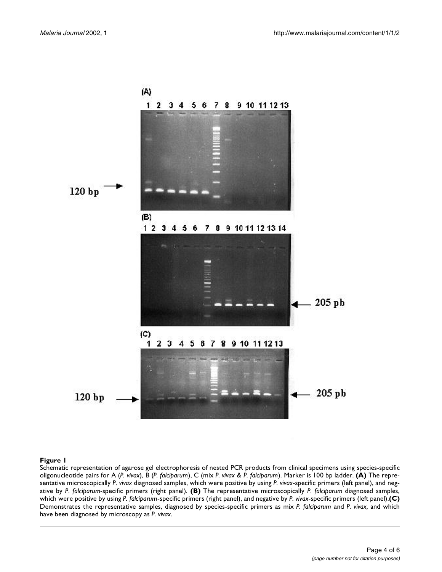

#### <span id="page-3-0"></span>**Figure 1**

Schematic representation of agarose gel electrophoresis of nested PCR products from clinical specimens using species-specific oligonucleotide pairs for A (*P. vivax*), B (*P. falciparum*), C (mix *P. vivax & P. falciparum*). Marker is 100 bp ladder. **(A)** The representative microscopically *P. vivax* diagnosed samples, which were positive by using *P. vivax*-specific primers (left panel), and negative by *P. falciparum*-specific primers (right panel). **(B)** The representative microscopically *P. falciparum* diagnosed samples, which were positive by using *P. falciparum*-specific primers (right panel), and negative by *P. vivax*-specific primers (left panel).**(C)** Demonstrates the representative samples, diagnosed by species-specific primers as mix *P. falciparum* and *P. vivax,* and which have been diagnosed by microscopy as *P. vivax.*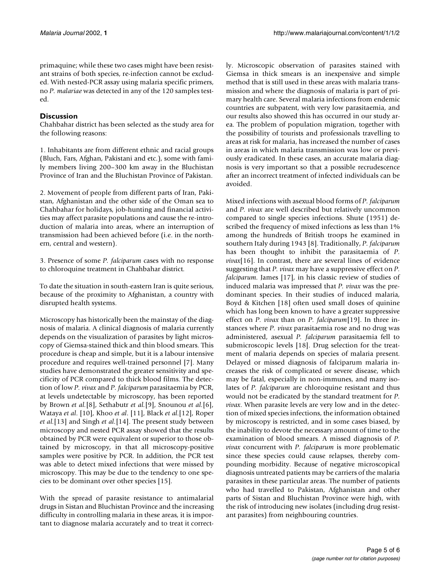primaquine; while these two cases might have been resistant strains of both species, re-infection cannot be excluded. With nested-PCR assay using malaria specific primers, no *P. malariae* was detected in any of the 120 samples tested.

## **Discussion**

Chahbahar district has been selected as the study area for the following reasons:

1. Inhabitants are from different ethnic and racial groups (Bluch, Fars, Afghan, Pakistani and etc.), some with family members living 200–300 km away in the Bluchistan Province of Iran and the Bluchistan Province of Pakistan.

2. Movement of people from different parts of Iran, Pakistan, Afghanistan and the other side of the Oman sea to Chahbahar for holidays, job-hunting and financial activities may affect parasite populations and cause the re-introduction of malaria into areas, where an interruption of transmission had been achieved before (i.e. in the northern, central and western).

3. Presence of some *P. falciparum* cases with no response to chloroquine treatment in Chahbahar district.

To date the situation in south-eastern Iran is quite serious, because of the proximity to Afghanistan, a country with disrupted health systems.

Microscopy has historically been the mainstay of the diagnosis of malaria. A clinical diagnosis of malaria currently depends on the visualization of parasites by light microscopy of Giemsa-stained thick and thin blood smears. This procedure is cheap and simple, but it is a labour intensive procedure and requires well-trained personnel [[7](#page-5-6)]. Many studies have demonstrated the greater sensitivity and specificity of PCR compared to thick blood films. The detection of low *P. vivax* and *P. falciparum* parasitaemia by PCR, at levels undetectable by microscopy, has been reported by Brown *et al.*[[8](#page-5-7)], Sethabutr *et al.*[[9](#page-5-8)], Snounou *et al.*[[6\]](#page-5-5), Wataya *et al*. [\[10\]](#page-5-9), Khoo *et al*. [\[11\]](#page-5-10), Black *et al.*[[12\]](#page-5-11), Roper *et al.*[\[13](#page-5-12)] and Singh *et al.*[\[14\]](#page-5-13). The present study between microscopy and nested PCR assay showed that the results obtained by PCR were equivalent or superior to those obtained by microscopy, in that all microscopy-positive samples were positive by PCR. In addition, the PCR test was able to detect mixed infections that were missed by microscopy. This may be due to the tendency to one species to be dominant over other species [\[15](#page-5-14)].

With the spread of parasite resistance to antimalarial drugs in Sistan and Bluchistan Province and the increasing difficulty in controlling malaria in these areas, it is important to diagnose malaria accurately and to treat it correctly. Microscopic observation of parasites stained with Giemsa in thick smears is an inexpensive and simple method that is still used in these areas with malaria transmission and where the diagnosis of malaria is part of primary health care. Several malaria infections from endemic countries are subpatent, with very low parasitaemia, and our results also showed this has occurred in our study area. The problem of population migration, together with the possibility of tourists and professionals travelling to areas at risk for malaria, has increased the number of cases in areas in which malaria transmission was low or previously eradicated. In these cases, an accurate malaria diagnosis is very important so that a possible recrudescence after an incorrect treatment of infected individuals can be avoided.

Mixed infections with asexual blood forms of *P. falciparum* and *P. vivax* are well described but relatively uncommon compared to single species infections. Shute (1951) described the frequency of mixed infections as less than 1% among the hundreds of British troops he examined in southern Italy during 1943 [\[8](#page-5-7)]. Traditionally, *P. falciparum* has been thought to inhibit the parasitaemia of *P. vivax*[\[16](#page-5-15)]. In contrast, there are several lines of evidence suggesting that *P. vivax* may have a suppressive effect on *P. falciparum.* James [\[17](#page-5-16)], in his classic review of studies of induced malaria was impressed that *P. vivax* was the predominant species. In their studies of induced malaria, Boyd & Kitchen [\[18](#page-5-17)] often used small doses of quinine which has long been known to have a greater suppressive effect on *P. vivax* than on *P. falciparum*[[19](#page-5-18)]. In three instances where *P. vivax* parasitaemia rose and no drug was administered, asexual *P. falciparum* parasitaemia fell to submicroscopic levels [\[18\]](#page-5-17). Drug selection for the treatment of malaria depends on species of malaria present. Delayed or missed diagnosis of falciparum malaria increases the risk of complicated or severe disease, which may be fatal, especially in non-immunes, and many isolates of *P. falciparum* are chloroquine resistant and thus would not be eradicated by the standard treatment for *P. vivax*. When parasite levels are very low and in the detection of mixed species infections, the information obtained by microscopy is restricted, and in some cases biased, by the inability to devote the necessary amount of time to the examination of blood smears. A missed diagnosis of *P. vivax* concurrent with *P. falciparum* is more problematic since these species could cause relapses, thereby compounding morbidity. Because of negative microscopical diagnosis untreated patients may be carriers of the malaria parasites in these particular areas. The number of patients who had travelled to Pakistan, Afghanistan and other parts of Sistan and Bluchistan Province were high, with the risk of introducing new isolates (including drug resistant parasites) from neighbouring countries.